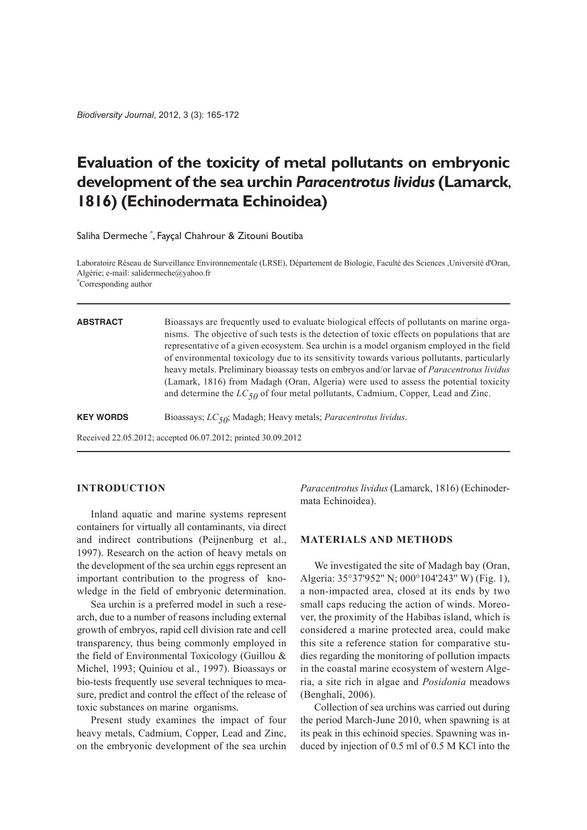# **Evaluation of the toxicity of metal pollutants on embryonic development of the sea urchin** *Paracentrotus lividus* **(Lamarck**, **1816) (Echinodermata Echinoidea)**

Saliha Dermeche \* , Fayçal Chahrour & Zitouni Boutiba

Laboratoire Réseau de Surveillance Environnementale (LRSE), Département de Biologie, Faculté des Sciences ,Université d'Oran, Algérie; e-mail: salidermeche@yahoo.fr

\* Corresponding author

#### **ABSTRACT** Bioassays are frequently used to evaluate biological effects of pollutants on marine organisms. The objective of such tests is the detection of toxic effects on populations that are representative of a given ecosystem. Sea urchin is a model organism employed in the field of environmental toxicology due to its sensitivity towards various pollutants, particularly heavy metals. Preliminary bioassay tests on embryos and/or larvae of *Paracentrotus lividus* (Lamark, 1816) from Madagh (Oran, Algeria) were used to assess the potential toxicity and determine the  $LC_{50}$  of four metal pollutants, Cadmium, Copper, Lead and Zinc.

**KEY WORDS** Bioassays; *LC50*; Madagh; Heavy metals; *Paracentrotus lividus*.

Received 22.05.2012; accepted 06.07.2012; printed 30.09.2012

# **introdUCtion**

Inland aquatic and marine systems represent containers for virtually all contaminants, via direct and indirect contributions (Peijnenburg et al., 1997). Research on the action of heavy metals on the development of the sea urchin eggs represent an important contribution to the progress of knowledge in the field of embryonic determination.

Sea urchin is a preferred model in such a research, due to a number of reasons including external growth of embryos, rapid cell division rate and cell transparency, thus being commonly employed in the field of Environmental Toxicology (Guillou & Michel, 1993; Quiniou et al., 1997). Bioassays or bio-tests frequently use several techniques to measure, predict and control the effect of the release of toxic substances on marine organisms.

Present study examines the impact of four heavy metals, Cadmium, Copper, Lead and Zinc, on the embryonic development of the sea urchin *Paracentrotus lividus* (Lamarck, 1816) (Echinodermata Echinoidea).

## **Materials and Methods**

We investigated the site of Madagh bay (Oran, Algeria: 35°37'952'' N; 000°104'243'' W) (Fig. 1), a non-impacted area, closed at its ends by two small caps reducing the action of winds. Moreover, the proximity of the Habibas island, which is considered a marine protected area, could make this site a reference station for comparative studies regarding the monitoring of pollution impacts in the coastal marine ecosystem of western Algeria, a site rich in algae and *Posidonia* meadows (Benghali, 2006).

Collection of sea urchins was carried out during the period March-June 2010, when spawning is at its peak in this echinoid species. Spawning was induced by injection of 0.5 ml of 0.5 M KCl into the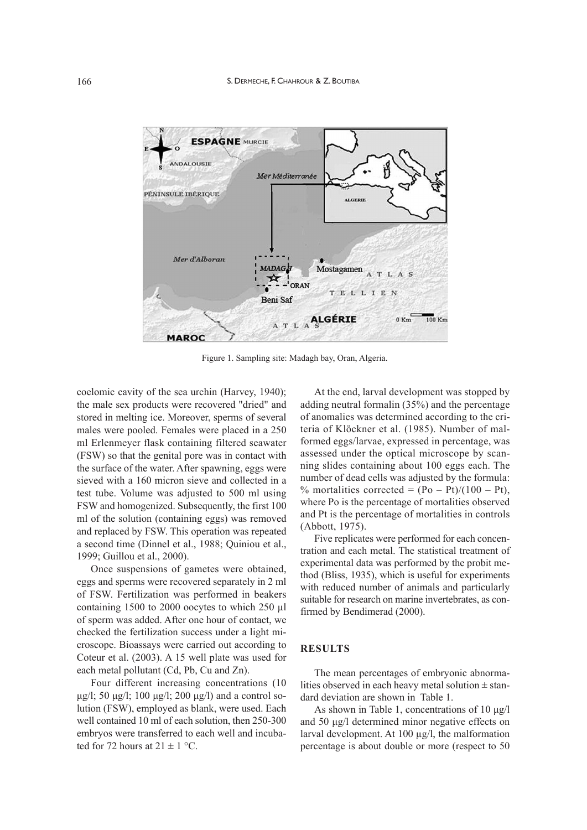

Figure 1. Sampling site: Madagh bay, Oran, Algeria.

coelomic cavity of the sea urchin (Harvey, 1940); the male sex products were recovered "dried" and stored in melting ice. Moreover, sperms of several males were pooled. Females were placed in a 250 ml Erlenmeyer flask containing filtered seawater (FSW) so that the genital pore was in contact with the surface of the water. After spawning, eggs were sieved with a 160 micron sieve and collected in a test tube. Volume was adjusted to 500 ml using FSW and homogenized. Subsequently, the first 100 ml of the solution (containing eggs) was removed and replaced by FSW. This operation was repeated a second time (Dinnel et al., 1988; Quiniou et al., 1999; Guillou et al., 2000).

Once suspensions of gametes were obtained, eggs and sperms were recovered separately in 2 ml of FSW. Fertilization was performed in beakers containing 1500 to 2000 oocytes to which 250 µl of sperm was added. After one hour of contact, we checked the fertilization success under a light microscope. Bioassays were carried out according to Coteur et al. (2003). A 15 well plate was used for each metal pollutant (Cd, Pb, Cu and Zn).

Four different increasing concentrations (10 μg/l; 50 μg/l; 100 μg/l; 200 μg/l) and a control solution (FSW), employed as blank, were used. Each well contained 10 ml of each solution, then 250-300 embryos were transferred to each well and incubated for 72 hours at  $21 \pm 1$  °C.

At the end, larval development was stopped by adding neutral formalin  $(35\%)$  and the percentage of anomalies was determined according to the criteria of Klöckner et al. (1985). Number of malformed eggs/larvae, expressed in percentage, was assessed under the optical microscope by scanning slides containing about 100 eggs each. The number of dead cells was adjusted by the formula: % mortalities corrected =  $(Po - Pt)/(100 - Pt)$ , where Po is the percentage of mortalities observed and Pt is the percentage of mortalities in controls (Abbott, 1975).

Five replicates were performed for each concentration and each metal. The statistical treatment of experimental data was performed by the probit method (Bliss, 1935), which is useful for experiments with reduced number of animals and particularly suitable for research on marine invertebrates, as confirmed by Bendimerad (2000).

#### **resUlts**

The mean percentages of embryonic abnormalities observed in each heavy metal solution  $\pm$  standard deviation are shown in Table 1.

As shown in Table 1, concentrations of 10 μg/l and 50 μg/l determined minor negative effects on larval development. At  $100 \mu g/l$ , the malformation percentage is about double or more (respect to 50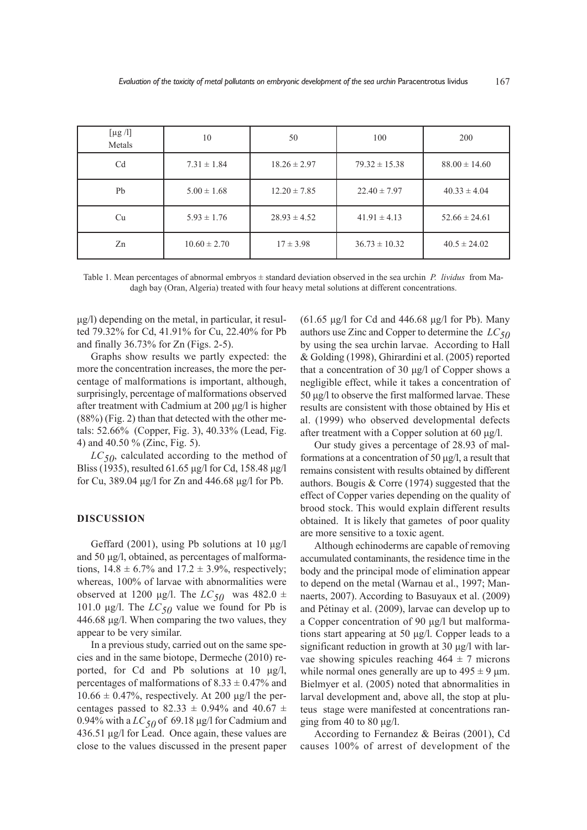| [ $\mu$ g /l]<br>Metals | 10               | 50               | 100               | 200               |
|-------------------------|------------------|------------------|-------------------|-------------------|
| C <sub>d</sub>          | $7.31 \pm 1.84$  | $18.26 \pm 2.97$ | $79.32 \pm 15.38$ | $88.00 \pm 14.60$ |
| Pb                      | $5.00 \pm 1.68$  | $12.20 \pm 7.85$ | $22.40 \pm 7.97$  | $40.33 \pm 4.04$  |
| Cu                      | $5.93 \pm 1.76$  | $28.93 \pm 4.52$ | $41.91 \pm 4.13$  | $52.66 \pm 24.61$ |
| Zn                      | $10.60 \pm 2.70$ | $17 \pm 3.98$    | $36.73 \pm 10.32$ | $40.5 \pm 24.02$  |

Table 1. Mean percentages of abnormal embryos  $\pm$  standard deviation observed in the sea urchin *P. lividus* from Madagh bay (Oran, Algeria) treated with four heavy metal solutions at different concentrations.

μg/l) depending on the metal, in particular, it resulted 79.32% for Cd, 41.91% for Cu, 22.40% for Pb and finally 36.73% for Zn (Figs. 2-5).

Graphs show results we partly expected: the more the concentration increases, the more the percentage of malformations is important, although, surprisingly, percentage of malformations observed after treatment with Cadmium at 200 μg/l is higher (88%) (Fig. 2) than that detected with the other metals: 52.66% (Copper, Fig. 3), 40.33% (Lead, Fig. 4) and 40.50 % (Zinc, Fig. 5).

*LC50*, calculated according to the method of Bliss (1935), resulted 61.65 μg/l for Cd, 158.48 μg/l for Cu, 389.04 μg/l for Zn and 446.68 μg/l for Pb.

## **disCUssion**

Geffard (2001), using Pb solutions at 10  $\mu$ g/l and 50 μg/l, obtained, as percentages of malformations,  $14.8 \pm 6.7\%$  and  $17.2 \pm 3.9\%$ , respectively; whereas, 100% of larvae with abnormalities were observed at 1200 μg/l. The  $LC_{50}$  was 482.0  $\pm$ 101.0  $\mu$ g/l. The  $LC_{50}$  value we found for Pb is 446.68 μg/l. When comparing the two values, they appear to be very similar.

In a previous study, carried out on the same species and in the same biotope, Dermeche (2010) reported, for Cd and Pb solutions at 10 μg/l, percentages of malformations of  $8.33 \pm 0.47\%$  and  $10.66 \pm 0.47\%$ , respectively. At 200 µg/l the percentages passed to 82.33  $\pm$  0.94% and 40.67  $\pm$ 0.94% with a  $LC_{50}$  of 69.18 µg/l for Cadmium and 436.51 μg/l for Lead. Once again, these values are close to the values discussed in the present paper

(61.65 μg/l for Cd and 446.68 μg/l for Pb). Many authors use Zinc and Copper to determine the *LC50* by using the sea urchin larvae. According to Hall & Golding (1998), Ghirardini et al. (2005) reported that a concentration of 30 μg/l of Copper shows a negligible effect, while it takes a concentration of 50 μg/l to observe the first malformed larvae. These results are consistent with those obtained by His et al. (1999) who observed developmental defects after treatment with a Copper solution at 60 μg/l.

Our study gives a percentage of 28.93 of malformations at a concentration of 50 μg/l, a result that remains consistent with results obtained by different authors. Bougis & Corre (1974) suggested that the effect of Copper varies depending on the quality of brood stock. This would explain different results obtained. It is likely that gametes of poor quality are more sensitive to a toxic agent.

Although echinoderms are capable of removing accumulated contaminants, the residence time in the body and the principal mode of elimination appear to depend on the metal (Warnau et al., 1997; Mannaerts, 2007). According to Basuyaux et al. (2009) and Pétinay et al. (2009), larvae can develop up to a Copper concentration of 90 μg/l but malformations start appearing at 50 μg/l. Copper leads to a significant reduction in growth at 30 μg/l with larvae showing spicules reaching  $464 \pm 7$  microns while normal ones generally are up to  $495 \pm 9$  µm. Bielmyer et al. (2005) noted that abnormalities in larval development and, above all, the stop at pluteus stage were manifested at concentrations ranging from 40 to 80  $\mu$ g/l.

According to Fernandez & Beiras (2001), Cd causes 100% of arrest of development of the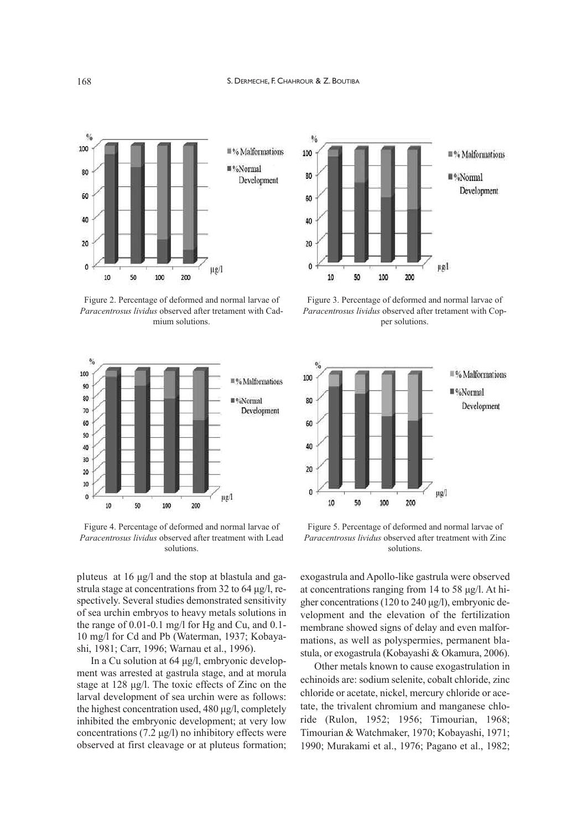

Figure 2. Percentage of deformed and normal larvae of *Paracentrosus lividus* observed after tretament with Cadmium solutions.



Figure 4. Percentage of deformed and normal larvae of *Paracentrosus lividus* observed after treatment with Lead solutions.

pluteus at 16 μg/l and the stop at blastula and gastrula stage at concentrations from 32 to 64 μg/l, respectively. Several studies demonstrated sensitivity of sea urchin embryos to heavy metals solutions in the range of 0.01-0.1 mg/l for Hg and Cu, and 0.1- 10 mg/l for Cd and Pb (Waterman, 1937; Kobayashi, 1981; Carr, 1996; Warnau et al., 1996).

In a Cu solution at 64 μg/l, embryonic development was arrested at gastrula stage, and at morula stage at 128 μg/l. The toxic effects of Zinc on the larval development of sea urchin were as follows: the highest concentration used, 480 μg/l, completely inhibited the embryonic development; at very low concentrations (7.2  $\mu$ g/l) no inhibitory effects were observed at first cleavage or at pluteus formation;



Figure 3. Percentage of deformed and normal larvae of *Paracentrosus lividus* observed after tretament with Copper solutions.



Figure 5. Percentage of deformed and normal larvae of *Paracentrosus lividus* observed after treatment with Zinc solutions.

exogastrula and Apollo-like gastrula were observed at concentrations ranging from 14 to 58 μg/l. At higher concentrations(120 to 240 μg/l), embryonic development and the elevation of the fertilization membrane showed signs of delay and even malformations, as well as polyspermies, permanent blastula, or exogastrula (Kobayashi & Okamura, 2006).

Other metals known to cause exogastrulation in echinoids are: sodium selenite, cobalt chloride, zinc chloride or acetate, nickel, mercury chloride or acetate, the trivalent chromium and manganese chloride (Rulon, 1952; 1956; Timourian, 1968; Timourian & Watchmaker, 1970; Kobayashi, 1971; 1990; Murakami et al., 1976; Pagano et al., 1982;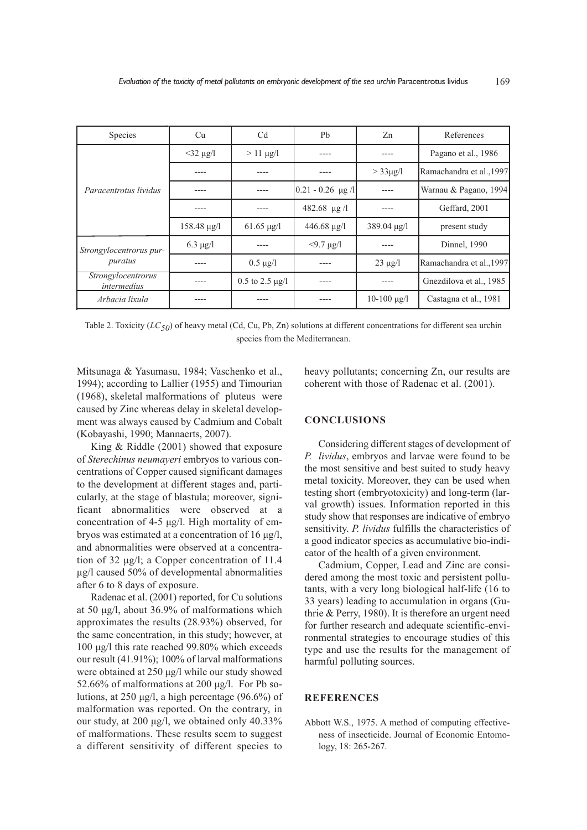| Species                            | Cu               | C <sub>d</sub>         | Pb                  | Zn                    | References               |
|------------------------------------|------------------|------------------------|---------------------|-----------------------|--------------------------|
| Paracentrotus lividus              | $<$ 32 µg/l      | $> 11 \mu g/l$         |                     |                       | Pagano et al., 1986      |
|                                    |                  |                        |                     | $>$ 33 $\mu$ g/l      | Ramachandra et al., 1997 |
|                                    |                  |                        | $0.21 - 0.26$ µg /l |                       | Warnau & Pagano, 1994    |
|                                    |                  |                        | 482.68 $\mu$ g /1   |                       | Geffard, 2001            |
|                                    | $158.48 \mu g/l$ | $61.65 \mu g/l$        | $446.68 \mu g/l$    | $389.04 \text{ µg}$ / | present study            |
| Strongylocentrorus pur-<br>puratus | $6.3 \mu g/l$    |                        | $<$ 9.7 µg/l        |                       | Dinnel, 1990             |
|                                    |                  | $0.5 \mu g/l$          |                     | $23 \mu g/l$          | Ramachandra et al., 1997 |
| Strongylocentrorus<br>intermedius  |                  | $0.5$ to $2.5 \mu g/l$ |                     |                       | Gnezdilova et al., 1985  |
| Arbacia lixula                     |                  |                        |                     | $10-100 \mu g/l$      | Castagna et al., 1981    |

Table 2. Toxicity (*LC50*) of heavy metal (Cd, Cu, Pb, Zn) solutions at different concentrations for different sea urchin species from the Mediterranean.

Mitsunaga & Yasumasu, 1984; Vaschenko et al., 1994); according to Lallier (1955) and Timourian (1968), skeletal malformations of pluteus were caused by Zinc whereas delay in skeletal development was always caused by Cadmium and Cobalt (Kobayashi, 1990; Mannaerts, 2007).

King & Riddle (2001) showed that exposure of *Sterechinus neumayeri* embryos to various concentrations of Copper caused significant damages to the development at different stages and, particularly, at the stage of blastula; moreover, significant abnormalities were observed at a concentration of 4-5 μg/l. High mortality of embryos was estimated at a concentration of 16 μg/l, and abnormalities were observed at a concentration of 32 μg/l; a Copper concentration of 11.4 μg/l caused 50% of developmental abnormalities after 6 to 8 days of exposure.

Radenac et al. (2001) reported, for Cu solutions at 50 μg/l, about 36.9% of malformations which approximates the results (28.93%) observed, for the same concentration, in this study; however, at 100 μg/l this rate reached 99.80% which exceeds our result (41.91%); 100% of larval malformations were obtained at 250 μg/l while our study showed 52.66% of malformations at 200 μg/l. For Pb solutions, at 250 μg/l, a high percentage (96.6%) of malformation was reported. On the contrary, in our study, at 200 μg/l, we obtained only 40.33% of malformations. These results seem to suggest a different sensitivity of different species to heavy pollutants; concerning Zn, our results are coherent with those of Radenac et al. (2001).

## **ConClUsions**

Considering different stages of development of *P. lividus*, embryos and larvae were found to be the most sensitive and best suited to study heavy metal toxicity. Moreover, they can be used when testing short (embryotoxicity) and long-term (larval growth) issues. Information reported in this study show that responses are indicative of embryo sensitivity. *P. lividus* fulfills the characteristics of a good indicator species as accumulative bio-indicator of the health of a given environment.

Cadmium, Copper, Lead and Zinc are considered among the most toxic and persistent pollutants, with a very long biological half-life (16 to 33 years) leading to accumulation in organs (Guthrie & Perry, 1980). It is therefore an urgent need for further research and adequate scientific-environmental strategies to encourage studies of this type and use the results for the management of harmful polluting sources.

## **reFerenCes**

Abbott W.S., 1975. A method of computing effectiveness of insecticide. Journal of Economic Entomology, 18: 265-267.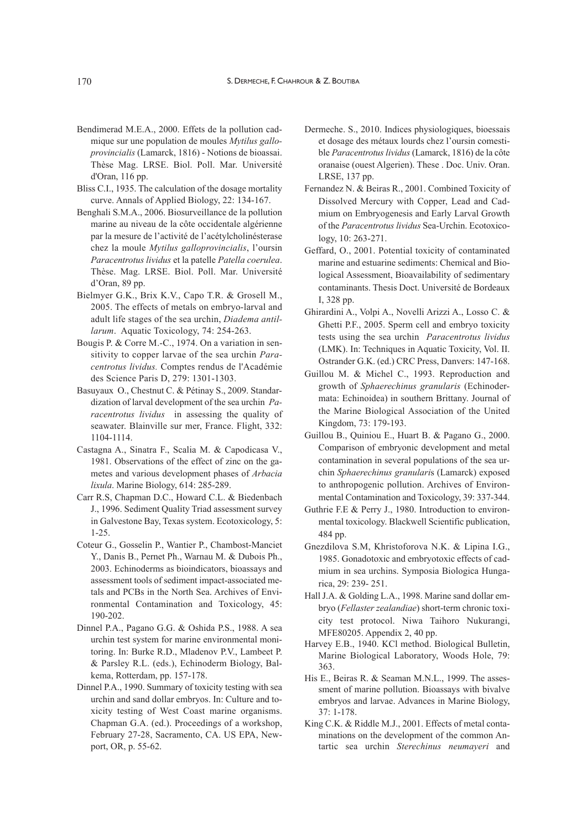- Bendimerad M.E.A., 2000. Effets de la pollution cadmique sur une population de moules *Mytilus galloprovincialis* (Lamarck, 1816) - Notions de bioassai. Thèse Mag. LRSE. Biol. Poll. Mar. Université d'Oran, 116 pp.
- Bliss C.I., 1935. The calculation of the dosage mortality curve. Annals of Applied Biology, 22: 134-167.
- Benghali S.M.A., 2006. Biosurveillance de la pollution marine au niveau de la côte occidentale algérienne par la mesure de l'activité de l'acétylcholinésterase chez la moule *Mytilus galloprovincialis*, l'oursin *Paracentrotus lividus* et la patelle *Patella coerulea*. Thèse. Mag. LRSE. Biol. Poll. Mar. Université d'Oran, 89 pp.
- Bielmyer G.K., Brix K.V., Capo T.R. & Grosell M., 2005. The effects of metals on embryo-larval and adult life stages of the sea urchin, *Diadema antillarum*. Aquatic Toxicology, 74: 254-263.
- Bougis P. & Corre M.-C., 1974. On a variation in sensitivity to copper larvae of the sea urchin *Paracentrotus lividus.* Comptes rendus de l'Académie des Science Paris D, 279: 1301-1303.
- Basuyaux O., Chestnut C. & Pétinay S., 2009. Standardization of larval development of the sea urchin *Paracentrotus lividus* in assessing the quality of seawater. Blainville sur mer, France. Flight, 332: 1104-1114.
- Castagna A., Sinatra F., Scalia M. & Capodicasa V., 1981. Observations of the effect of zinc on the gametes and various development phases of *Arbacia lixula*. Marine Biology, 614: 285-289.
- Carr R.S, Chapman D.C., Howard C.L. & Biedenbach J., 1996. Sediment Quality Triad assessment survey in Galvestone Bay, Texas system. Ecotoxicology, 5: 1-25.
- Coteur G., Gosselin P., Wantier P., Chambost-Manciet Y., Danis B., Pernet Ph., Warnau M. & Dubois Ph., 2003. Echinoderms as bioindicators, bioassays and assessment tools of sediment impact-associated metals and PCBs in the North Sea. Archives of Environmental Contamination and Toxicology, 45: 190-202.
- Dinnel P.A., Pagano G.G. & Oshida P.S., 1988. A sea urchin test system for marine environmental monitoring. In: Burke R.D., Mladenov P.V., Lambeet P. & Parsley R.L. (eds.), Echinoderm Biology, Balkema, Rotterdam, pp. 157-178.
- Dinnel P.A., 1990. Summary of toxicity testing with sea urchin and sand dollar embryos. In: Culture and toxicity testing of West Coast marine organisms. Chapman G.A. (ed.). Proceedings of a workshop, February 27-28, Sacramento, CA. US EPA, Newport, OR, p. 55-62.
- Dermeche. S., 2010. Indices physiologiques, bioessais et dosage des métaux lourds chez l'oursin comestible *Paracentrotus lividus* (Lamarck, 1816) de la côte oranaise (ouest Algerien). These . Doc. Univ. Oran. LRSE, 137 pp.
- Fernandez N. & Beiras R., 2001. Combined Toxicity of Dissolved Mercury with Copper, Lead and Cadmium on Embryogenesis and Early Larval Growth of the *Paracentrotus lividus* Sea-Urchin. Ecotoxicology, 10: 263-271.
- Geffard, O., 2001. Potential toxicity of contaminated marine and estuarine sediments: Chemical and Biological Assessment, Bioavailability of sedimentary contaminants. Thesis Doct. Université de Bordeaux I, 328 pp.
- Ghirardini A., Volpi A., Novelli Arizzi A., Losso C. & Ghetti P.F., 2005. Sperm cell and embryo toxicity tests using the sea urchin *Paracentrotus lividus* (LMK). In: Techniques in Aquatic Toxicity, Vol. II. Ostrander G.K. (ed.) CRC Press, Danvers: 147-168.
- Guillou M. & Michel C., 1993. Reproduction and growth of *Sphaerechinus granularis* (Echinodermata: Echinoidea) in southern Brittany. Journal of the Marine Biological Association of the United Kingdom, 73: 179-193.
- Guillou B., Quiniou E., Huart B. & Pagano G., 2000. Comparison of embryonic development and metal contamination in several populations of the sea urchin *Sphaerechinus granulari*s (Lamarck) exposed to anthropogenic pollution. Archives of Environmental Contamination and Toxicology, 39: 337-344.
- Guthrie F.E & Perry J., 1980. Introduction to environmental toxicology. Blackwell Scientific publication, 484 pp.
- Gnezdilova S.M, Khristoforova N.K. & Lipina I.G., 1985. Gonadotoxic and embryotoxic effects of cadmium in sea urchins. Symposia Biologica Hungarica, 29: 239- 251.
- Hall J.A. & Golding L.A., 1998. Marine sand dollar embryo (*Fellaster zealandiae*) short-term chronic toxicity test protocol. Niwa Taihoro Nukurangi, MFE80205. Appendix 2, 40 pp.
- Harvey E.B., 1940. KCl method. Biological Bulletin, Marine Biological Laboratory, Woods Hole, 79: 363.
- His E., Beiras R. & Seaman M.N.L., 1999. The assessment of marine pollution. Bioassays with bivalve embryos and larvae. Advances in Marine Biology, 37: 1-178.
- King C.K. & Riddle M.J., 2001. Effects of metal contaminations on the development of the common Antartic sea urchin *Sterechinus neumayeri* and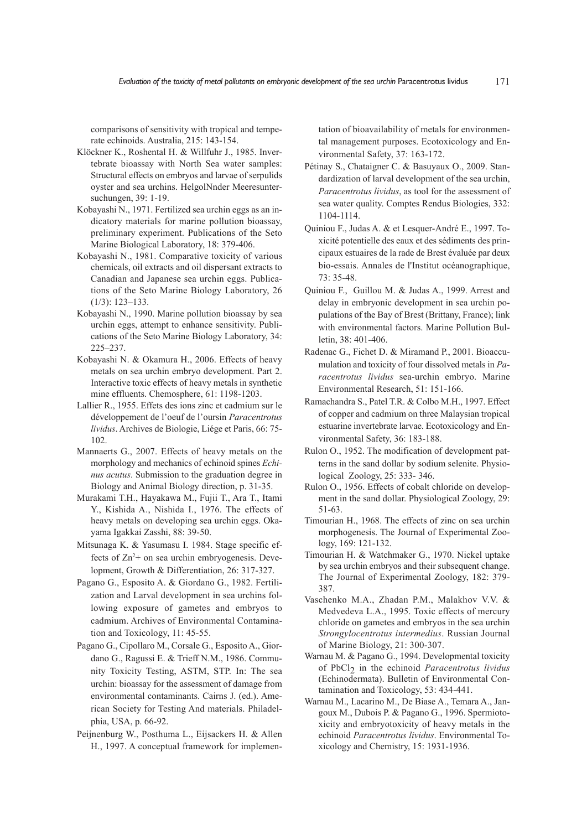comparisons of sensitivity with tropical and temperate echinoids. Australia, 215: 143-154.

- Klöckner K., Roshental H. & Willfuhr J., 1985. Invertebrate bioassay with North Sea water samples: Structural effects on embryos and larvae of serpulids oyster and sea urchins. HelgolNnder Meeresuntersuchungen, 39: 1-19.
- Kobayashi N., 1971. Fertilized sea urchin eggs as an indicatory materials for marine pollution bioassay, preliminary experiment. Publications of the Seto Marine Biological Laboratory, 18: 379-406.
- Kobayashi N., 1981. Comparative toxicity of various chemicals, oil extracts and oil dispersant extracts to Canadian and Japanese sea urchin eggs. Publications of the Seto Marine Biology Laboratory, 26 (1/3): 123–133.
- Kobayashi N., 1990. Marine pollution bioassay by sea urchin eggs, attempt to enhance sensitivity. Publications of the Seto Marine Biology Laboratory, 34: 225–237.
- Kobayashi N. & Okamura H., 2006. Effects of heavy metals on sea urchin embryo development. Part 2. Interactive toxic effects of heavy metals in synthetic mine effluents. Chemosphere, 61: 1198-1203.
- Lallier R., 1955. Effets des ions zinc et cadmium sur le développement de l'oeuf de l'oursin *Paracentrotus lividus*. Archives de Biologie, Liége et Paris, 66: 75- 102.
- Mannaerts G., 2007. Effects of heavy metals on the morphology and mechanics of echinoid spines *Echinus acutus*. Submission to the graduation degree in Biology and Animal Biology direction, p. 31-35.
- Murakami T.H., Hayakawa M., Fujii T., Ara T., Itami Y., Kishida A., Nishida I., 1976. The effects of heavy metals on developing sea urchin eggs. Okayama Igakkai Zasshi, 88: 39-50.
- Mitsunaga K. & Yasumasu I. 1984. Stage specific effects of  $Zn^{2+}$  on sea urchin embryogenesis. Development, Growth & Differentiation, 26: 317-327.
- Pagano G., Esposito A. & Giordano G., 1982. Fertilization and Larval development in sea urchins following exposure of gametes and embryos to cadmium. Archives of Environmental Contamination and Toxicology, 11: 45-55.
- Pagano G., Cipollaro M., Corsale G., Esposito A., Giordano G., Ragussi E. & Trieff N.M., 1986. Community Toxicity Testing, ASTM, STP. In: The sea urchin: bioassay for the assessment of damage from environmental contaminants. Cairns J. (ed.). American Society for Testing And materials. Philadelphia, USA, p. 66-92.
- Peijnenburg W., Posthuma L., Eijsackers H. & Allen H., 1997. A conceptual framework for implemen-

tation of bioavailability of metals for environmental management purposes. Ecotoxicology and Environmental Safety, 37: 163-172.

- Pétinay S., Chataigner C. & Basuyaux O., 2009. Standardization of larval development of the sea urchin, *Paracentrotus lividus*, as tool for the assessment of sea water quality. Comptes Rendus Biologies, 332: 1104-1114.
- Quiniou F., Judas A. & et Lesquer-André E., 1997. Toxicité potentielle des eaux et des sédiments des principaux estuaires de la rade de Brest évaluée par deux bio-essais. Annales de l'Institut océanographique, 73: 35-48.
- Quiniou F., Guillou M. & Judas A., 1999. Arrest and delay in embryonic development in sea urchin populations of the Bay of Brest (Brittany, France); link with environmental factors. Marine Pollution Bulletin, 38: 401-406.
- Radenac G., Fichet D. & Miramand P., 2001. Bioaccumulation and toxicity of four dissolved metals in *Paracentrotus lividus* sea-urchin embryo. Marine Environmental Research, 51: 151-166.
- Ramachandra S., Patel T.R. & Colbo M.H., 1997. Effect of copper and cadmium on three Malaysian tropical estuarine invertebrate larvae. Ecotoxicology and Environmental Safety, 36: 183-188.
- Rulon O., 1952. The modification of development patterns in the sand dollar by sodium selenite. Physiological Zoology, 25: 333- 346.
- Rulon O., 1956. Effects of cobalt chloride on development in the sand dollar. Physiological Zoology, 29: 51-63.
- Timourian H., 1968. The effects of zinc on sea urchin morphogenesis. The Journal of Experimental Zoology, 169: 121-132.
- Timourian H. & Watchmaker G., 1970. Nickel uptake by sea urchin embryos and their subsequent change. The Journal of Experimental Zoology, 182: 379- 387.
- Vaschenko M.A., Zhadan P.M., Malakhov V.V. & Medvedeva L.A., 1995. Toxic effects of mercury chloride on gametes and embryos in the sea urchin *Strongylocentrotus intermedius*. Russian Journal of Marine Biology, 21: 300-307.
- Warnau M. & Pagano G., 1994. Developmental toxicity of PbCl 2 in the echinoid *Paracentrotus lividus* (Echinodermata). Bulletin of Environmental Contamination and Toxicology, 53: 434-441.
- Warnau M., Lacarino M., De Biase A., Temara A., Jangoux M., Dubois P. & Pagano G., 1996. Spermiotoxicity and embryotoxicity of heavy metals in the echinoid *Paracentrotus lividus*. Environmental Toxicology and Chemistry, 15: 1931-1936.